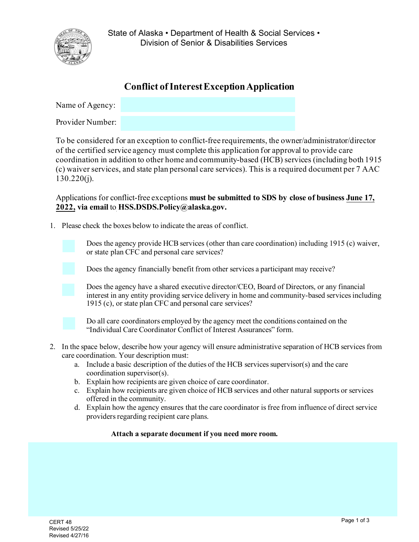

State of Alaska • Department of Health & Social Services • Division of Senior & Disabilities Services

## **Conflict of Interest Exception Application**

| Name of Agency:  |  |
|------------------|--|
| Provider Number: |  |

To be considered for an exception to conflict-free requirements, the owner/administrator/director of the certified service agency must complete this application for approval to provide care coordination in addition to other home and community-based (HCB) services (including both 1915 (c) waiver services, and state plan personal care services). This is a required document per 7 AAC  $130.220(i)$ .

Applications for conflict-free exceptions **must be submitted to SDS by close of business June 17, 2022, via email** to **HSS.DSDS.Policy@alaska.gov.**

1. Please check the boxes below to indicate the areas of conflict.



Does the agency provide HCB services (other than care coordination) including 1915 (c) waiver, or state plan CFC and personal care services?

Does the agency financially benefit from other services a participant may receive?



Does the agency have a shared executive director/CEO, Board of Directors, or any financial interest in any entity providing service delivery in home and community-based services including 1915 (c), or state plan CFC and personal care services?



Do all care coordinators employed by the agency meet the conditions contained on the "Individual Care Coordinator Conflict of Interest Assurances" form.

- 2. In the space below, describe how your agency will ensure administrative separation of HCB services from care coordination. Your description must:
	- a. Include a basic description of the duties of the HCB services supervisor(s) and the care coordination supervisor(s).
	- b. Explain how recipients are given choice of care coordinator.
	- c. Explain how recipients are given choice of HCB services and other natural supports or services offered in the community.
	- d. Explain how the agency ensures that the care coordinator is free from influence of direct service providers regarding recipient care plans.

## **Attach a separate document if you need more room.**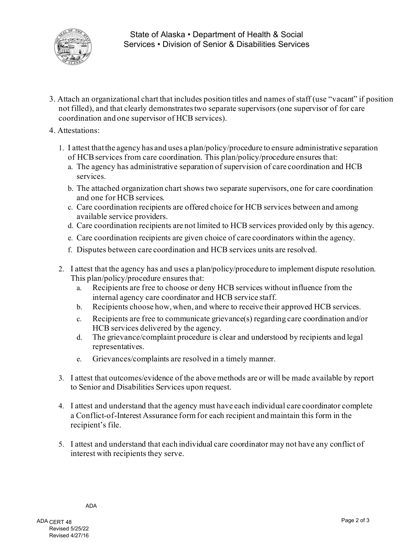

- 3. Attach an organizational chart that includes position titles and names of staff (use "vacant" if position not filled), and that clearly demonstrates two separate supervisors (one supervisor of for care coordination and one supervisor of HCB services).
- 4. Attestations:
	- 1. I attest thatthe agency has and uses a plan/policy/procedure to ensure administrative separation of HCB services from care coordination. This plan/policy/procedure ensures that:
		- a. The agency has administrative separation of supervision of care coordination and HCB services.
		- b. The attached organization chart shows two separate supervisors, one for care coordination and one for HCB services.
		- c. Care coordination recipients are offered choice for HCB services between and among available service providers.
		- d. Care coordination recipients are not limited to HCB services provided only by this agency.
		- e. Care coordination recipients are given choice of care coordinators within the agency.
		- f. Disputes between care coordination and HCB services units are resolved.
	- 2. I attest that the agency has and uses a plan/policy/procedure to implement dispute resolution. This plan/policy/procedure ensures that:
		- a. Recipients are free to choose or deny HCB services without influence from the internal agency care coordinator and HCB service staff.
		- b. Recipients choose how, when, and where to receive their approved HCB services.
		- c. Recipients are free to communicate grievance(s) regarding care coordination and/or HCB services delivered by the agency.
		- d. The grievance/complaint procedure is clear and understood by recipients and legal representatives.
		- e. Grievances/complaints are resolved in a timely manner.
	- 3. I attest that outcomes/evidence of the above methods are or will be made available by report to Senior and Disabilities Services upon request.
	- 4. I attest and understand that the agency must have each individual care coordinator complete a Conflict-of-Interest Assurance form for each recipient and maintain this form in the recipient's file.
	- 5. I attest and understand that each individual care coordinator may not have any conflict of interest with recipients they serve.